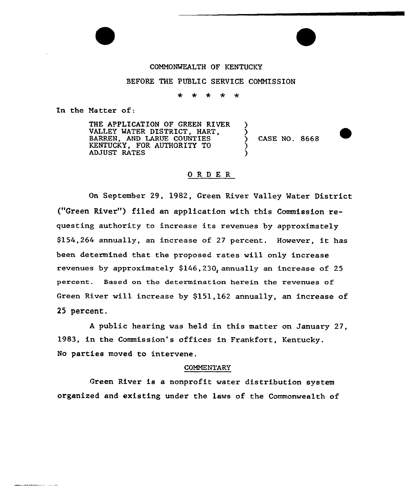### COMMONWEALTH OF KENTUCKY

## BEFORE THE PUBLIC SERVICE COMMISSION

### ÷  $\star$ 火

In the Natter of:

THE APPLICATION OF GREEN RIVER VALLEY WATER DISTRICT, HART, BARREN, AND LARUE COUNTIES KENTUCKY, FOR AUTHORITY TO ADJUST RATES

) CASE NO. 8668

)  $\boldsymbol{\mathfrak{z}}$ 

) )

### ORDER

On September 29, 1982, Green River Valley Mater District ("Green River") filed an application with this Commission requesting authority to increase its revenues by approximately \$154,264 annually, an increase of 27 percent. However, it has been determined that the proposed rates will only increase revenues by approximately \$146,230, annually an increase of 25 percent. Based on the determination herein the revenues of Green River will increase by \$151,162 annually, an increase of 25 percent.

<sup>A</sup> public hearing was held in this matter on January 27, 1983, in the Commission's offices in Frankfort, Kentucky. No parties moved to intervene.

### **COMMENTARY**

Green River is a nonprofit water distribution system organized and existing under the laws of the Commonwealth of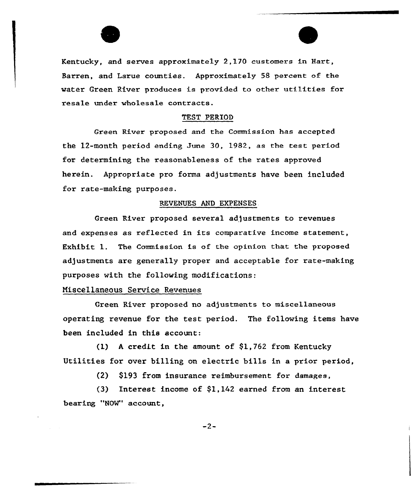Kentucky, and serves approximately 2,170 customers in Hart, Barren, and Larue counties. Approximately 58 percent of the water Green River produces is provided to other utilities for resale under wholesale contracts.

## TEST PERIOD

Green River proposed and the Commission has accepted the 12-month period ending Sune 30, 1982, as the test period for determining the reasonableness of the rates approved herein. Appxopriate pxo foxma adjustments have been included for rate-making purposes.

## REVENUES AND EXPENSES.

Green River proposed several adjustments to revenues and expenses as reflected in its comparative income statement, Exhibit 1. The Commission is of the opinion that the proposed adjustments are generally proper and acceptable for xate-making purposes with the following modifications:

## Miscellaneous Service Revenues

Creen River proposed no adjustments to miscellaneous operating revenue for the test period. The following items have been included in this account:

(1) A credit in the amount of  $$1,762$  from Kentucky Utilities for over billing on electric bills in a prior period,

(2) \$193 from insurance reimbursement for damages,

(3) Interest income of \$1,142 earned from an interest bearing "NOW" account,

 $-2-$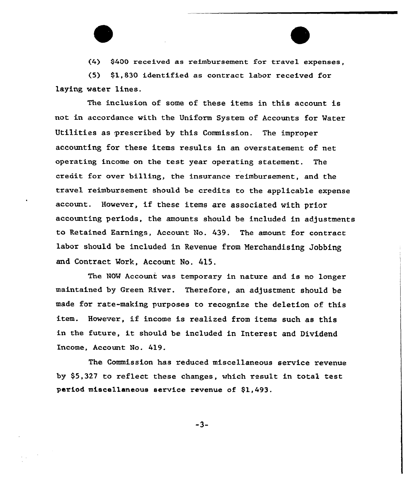(4) \$400 received as reimbursement for travel expenses,

(5) \$1,830 identified as contract labor received for laying water lines.

The inclusion of some of these items in this account is not in accordance with the Uniform System of Accounts for Mater Utilities as prescribed by this Commission. The improper accounting for these items results in an overstatement of net operating income on the test year operating statement. The credit for over billing, the insurance reimbursement, and the travel reimbursement should be credits to the applicable expense account. However, if these items are associated with prior accounting periods, the amounts should be included in adjustments to Retained Earnings, Account No. 439. The amount for contract labor should be included in Revenue from Nerchandising Jobbing and Contract Work, Account No. 415.

The NON Account was temporary in nature and is no longer maintained by Green River. Therefore, an adjustment should be made for rate-making purposes to recognize the deletion of this item. However, if income is realized from items such as this in the future, it should be included in Interest and Dividend Income, Account No. 419.

The Commission has reduced miscellaneous service revenue by \$5,327 to reflect these changes, which result in total test period miscellaneous service revenue of \$1,493.

 $-3-$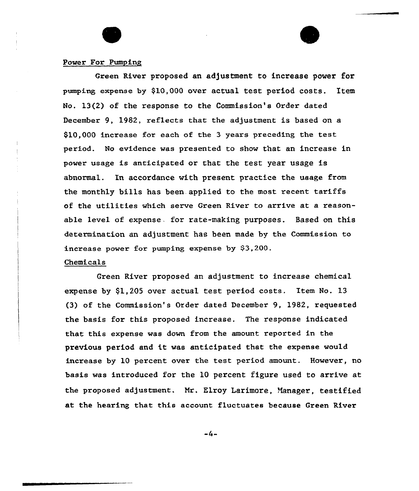## Power For Pumping

Green River proposed an adjustment to increase power for pumping expense by \$10,000 over actual test period costs. Item No. 13(2) of the response to the Commission's Order dated December 9, 1982, reflects that the adjustment is based on a 810,000 increase for each of the <sup>3</sup> years preceding the test period. No evidence was presented to show that an increase in power usage is anticipated or that the test year usage is abnormal. In accordance with present practice the usage from the monthly bills has been applied to the most recent tariffs of the utilities which serve Green River to arrive at a reasonable level of expense. for rate-making purposes. Based on this determination an adjustment has been made by the Commission to increase power for pumping expense by \$3,200.

## Chemicals

Creen River proposed an adjustment to increase chemical expense by \$1,205 over actual test period costs. Item No. 13 (3) of the Commission's Oxder dated December 9, 1982, requested the basis for this proposed increase. The response indicated that this expense was down from the amount reported in the previous period and it was anticipated that the expense would increase by 10 percent over the test period amount. However, no basis was introduced for the 10 percent figure used to arrive at the proposed adjustment. Nr. Klroy Larimore, Manager, testified at the hearing that this account fluctuates because Green River

-4»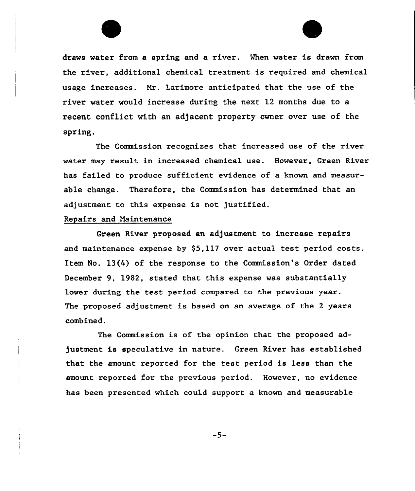draws water from a spring and a river. Mhen water is drawn from the river, additional chemical treatment is required and chemical usage increases. Nr. Larimore anticipated that the use of the river water would increase during the next 12 months due to a recent conflict with an adjacent property owner over use of the spring.

The Commission recognizes that increased use of the river water may result in increased chemical use. However, Green River has failed to produce sufficient evidence of a known and measurable change. Therefore, the Commission has determined that an adjustment to this expense is not justified.

## Repairs and Maintenance

Green River proposed an adjustment to increase repairs and maintenance expense by \$5,117 over actual test period costs. Item No. 13(4) of the response to the Commission's Order dated December 9, 1982, stated that this expense was substantially lower during the test period compared to the previous year. The proposed adjustment is based on an average of the <sup>2</sup> years combined.

The Commission is of the opinion that the proposed adjustment is speculative in nature. Green River has established that the amount reported for the test period is less than the amount reported for the previous period. However, no evidence has been presented which could support a known and measurable

 $-5-$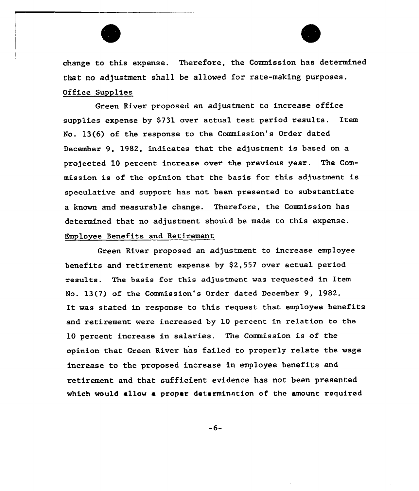change to this expense. Therefore, the Commission has determined that no adjustment shall be allowed for rate-making purposes. Office Supplies

Green River proposed an adjustment to increase office supplies expense by \$731 over actual test period results. Item No. 13(6) of the response to the Commission's Order dated December 9, 1982, indicates that the adjustment is based on a projected 10 percent increase over the previous year. The Commission is of the opinion that the basis for this adjustment is speculative and support has not been presented to substantiate a known and measurable change. Therefore, the Commission has determined that no adjustment should be made to this expense. Employee Benefits and Retirement

Green River proposed an adjustment to increase employee benefits and retirement expense by \$2,557 over actual period results. The basis fox this adjustment was xequested in Item No. 13(7) of the Commission's Order dated December 9, 1982. It was stated in response to this request that employee benefits and retirement were increased by 10 percent in relation to the 10 percent increase in salaxies. The Commission is of the opinion that Green River has failed to properly relate the wage increase to the proposed increase in employee benefits and retirement and that sufficient evidence has not been presented which would allow a proper determination of the amount required

 $-6-$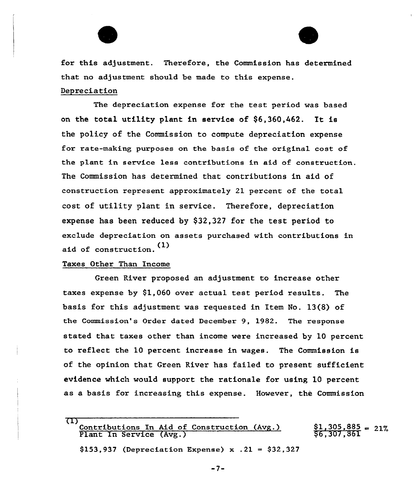



for this adjustment. Therefore, the Commission has determined that no adjustment should be made to this expense. Depreciation

The depreciation expense for the test period was based on the total utility plant in service of  $$6,360,462$ . It is the policy of the Commission to compute depreciation expense for rate-making purposes on the basis of the original cost of the plant in service less contributions in aid of construction. The Commission has determined that contributions in aid of construction represent approximately 21 percent of the total cost of utility plant in service. Therefore, depreciation expense has been reduced by \$32,327 for the test period to exclude depreciation on assets purchased with contributions in aid of construction. (1)

## Taxes Other Than Income

Green River proposed an adjustment to increase other taxes expense by \$1,060 over actual test period results. The basis for this adjustment was requested in Item No. 13(8) of the Commission's Order dated December 9, 1982. The response stated that taxes other than income were increased by 10 percent to reflect the 10 percent increase in wages. The Commission is of the opinion that Green River has failed to present sufficient evidence which would support the rationale for using 10 percent as a basis for increasing this expense. However, the Commission

<sup>(1)&</sup>lt;br>Contributions In Aid of Construction (Avg.) Plant In Service (Avg.) \$1,305.885  $\overline{\$6,307,861}$ 

<sup>\$153.937 (</sup>Depreciation Expense) x  $.21 = $32,327$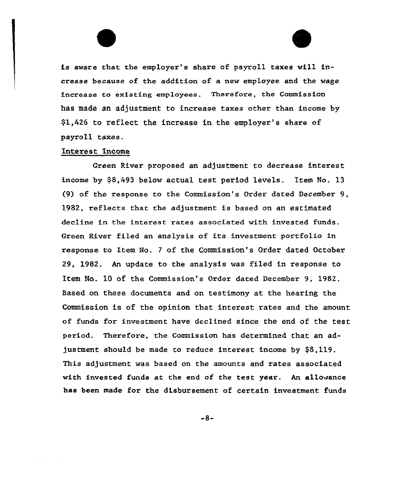is aware that the employer's share of payroll taxes wilL increase because of the addition of a new employee and the wage increase to existing employees. Therefore, the Commission has made an adjustment to increase taxes other than income by \$1,426 to reflect the increase in the employer's share of payro11 taxes.

## Interest Income

 $\alpha_{\rm c} = \alpha_{\rm c}$ 

Green River proposed an adjustment to decrease interest income by \$8,493 below actual test period levels. Item No. 13 (9) of the response to the Commission's Order dated December 9, 1982, reflects that the adjustment is based on an estimated decline in the interest rates associated with invested funds. Green River filed an analysis of its investment portfo1io in response to Item No. <sup>7</sup> of the Commission's Order dated October 29, 1982. An update to the analysis was filed in response to Item No. 10 of the Commission's Oxder dated December 9, 1982. Based on these documents and on testimony at the hearing the Commission is of the opinion that interest rates and the amount of funds for investment have declined since the end of the test pexiod. Thexefore, the Commission has determined that an adjustment should be made to reduce interest income by \$8,119. This adjustment was based on the amounts and rates associated with invested funds at the end of the test year. An allowance has been made for the disbursement of certain investment funds

 $-8-$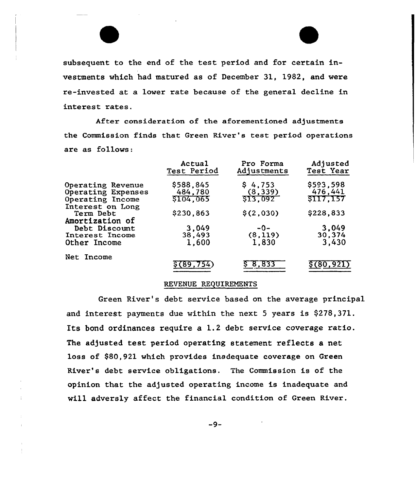subsequent to the end of the test period and for certain investments which had matured as of December 31, 1982, and were re-invested at a lower rate because of the general decline in interest rates.

After consideration of the aforementioned adjustments the Commission finds that Green River's test period operations are as follows:

|                                                  | Actual      | Pro Forma   | Adjusted         |
|--------------------------------------------------|-------------|-------------|------------------|
|                                                  | Test Period | Adjustments | Test Year        |
| Operating Revenue                                | \$588,845   | \$4,753     | \$593,598        |
| Operating Expenses                               | 484,780     | (8, 339)    | 476,441          |
| Operating Income                                 | \$104,065   | \$13,092    | <b>\$117,157</b> |
| Interest on Long<br>Term Debt<br>Amortization of | \$230,863   | \$(2,030)   | \$228,833        |
| Debt Discount                                    | 3,049       | $-0-$       | 3,049            |
| Interest Income                                  | 38,493      | (8, 119)    | 30,374           |
| Other Income                                     | 1,600       | 1,830       | 3,430            |
| Net Income                                       | (89.754)    | S 8,833     | \$(80,921)       |

## REVENUE REQUIREMENTS

Green River's debt service based on the average principal and interest payments due within the next <sup>5</sup> years is \$278,371. Its bond ordinances require a 1.2 debt service coverage ratio. The adjusted test period operating statement reflects a net loss of \$80,921 which provides inadequate coverage on Green River's debt service obligations. The Commission is of the opinion that the adjusted operating income is inadequate and will adversly affect the financial condition of Green River.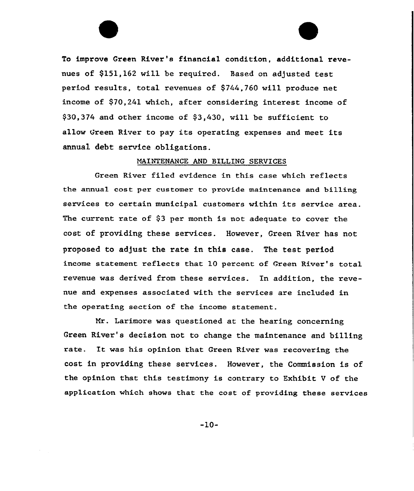To improve Green River's financial condition, additional revenues of \$151,162 will be required. Based on adjusted test period results, total revenues of \$744,760 will produce net income of \$70,241 which, after considering interest income of \$30,374 and other income of \$3,430, will be sufficient to allow Green River to pay its operating expenses and meet its annual debt service obligations.

## NAINTENANCE AND BILLING SERUICES

Green River filed evidence in this case which reflects the annual cost per customer to provide maintenance and billing services to certain municipal customers within its service area. The current rate of  $$3$  per month is not adequate to cover the cost of providing these services. However, Green River has not proposed to adjust the rate in this case. The test period income statement reflects that 10 percent of Green River's total revenue was derived from these services. In addition, the revenue and expenses associated with the services are included in the operating section of the income statement.

Mr. Larimore was questioned at the hearing concerning Green River's decision not to change the maintenance and billing rate. It was his opinion that Green River was recovering the cost in providing these services. However, the Commission is of the opinion that this testimony is contrary to Exhibit <sup>U</sup> of the application which shows that the cost of providing these services

-10-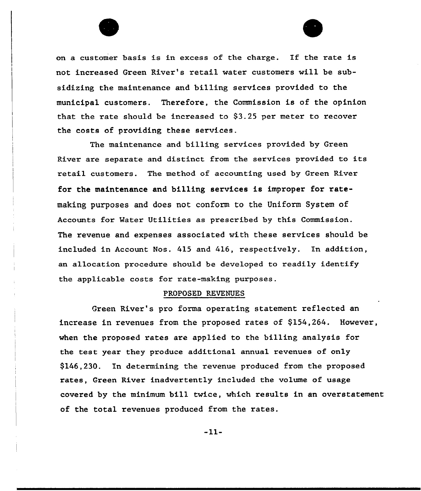

on <sup>a</sup> customer basis is in excess of the charge. If the rate is not increased Green River's retail water customers will be subsidizing the maintenance and billing services provided to the municipal customers. Therefore, the Commission is of the opinion that the rate should be increased to  $$3.25$  per meter to recover the costs of providing these services.

The maintenance and billing services provided by Green River are separate and distinct from the services provided to its retail customers. The method of accounting used by Green River for the maintenance and billing services is improper for ratemaking purposes and does not conform to the Uniform System of Accounts for Mater Utilities as prescribed by this Commission. The revenue and expenses associated with these services should be included in Account Nos. 415 and 416, respectively. In addition, an allocation procedure should be developed to readily identify the applicable costs for rate-making purposes.

### PROPOSED REVENUES

Green River's pro forma operating statement reflected an increase in revenues from the proposed rates of  $$154,264$ . However, when the proposed rates are applied to the billing analysis for the test year they produce additional annual revenues of only \$146,230. In determining the revenue produced from the proposed rates, Green River inadvertently included the volume of usage covered by the minimum bill twice, which results in an overstatement of the total revenues produced from the rates.

-11-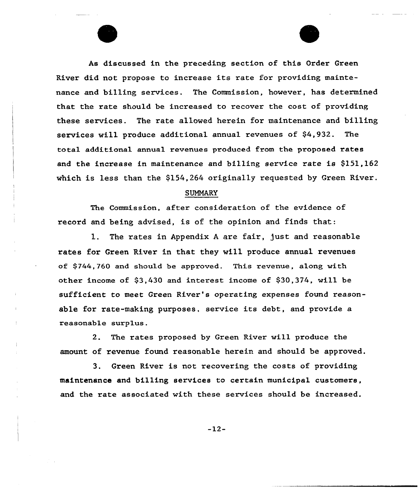As discussed in the preceding section of this Order Creen River did not propose to increase its rate for providing maintenance and billing services. The Commission, however, has determined that the rate should be increased to recover the cost of providing these services. The rate allowed herein for maintenance and billing services will produce additional annual revenues of \$4,932. The total additional annual revenues produced from the proposed rates and the increase in maintenance and billing service rate is \$151,162 which is less than the \$154,264 originally requested by Green River.

## SUMMARY

The Commission, after consideration of the evidence of record and being advised, is of the opinion and finds that:

l. The rates in Appendix <sup>A</sup> are fair, just and reasonable rates for Green River in that they will produce annual revenues of \$744,760 and should be approved. This revenue, along with other income of \$3,430 and interest income of \$30,374, will be sufficient to meet Creen River's operating expenses found reasonable for rate-making purposes. service its debt, and provide a reasonable surplus.

2. The rates proposed by Green River vill produce the amount of revenue found reasonable herein and should be approved.

3. Green River is not recovering the costs of providing maintenance and billing services to certain municipal customers, and the rate associated with these services should be increased.

 $-12-$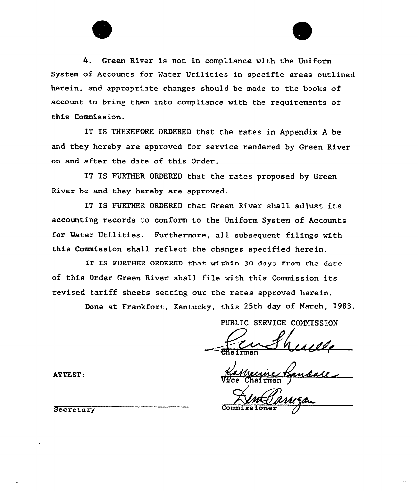4. Green River is not in compliance with the Uniform System of Accounts for Watex Utilities in specific areas outlined herein, and appropriate changes should be made to the books of account to bring them into compliance with the requirements of this Commission.

IT IS THEREFORE ORDERED that the rates in Appendix A be and they hereby are approved for service rendered by Green River on and after the date of this Order.

IT IS FURTHER ORDERED that the rates proposed by Green River be and they hereby axe approved.

IT IS FURTHER ORDERED that Green River shall adjust its accounting records to conform to the Uniform System of Accounts for Mater Utilities. Furthermore, all subsequent filings with this Commission shall reflect the changes specified hexein.

IT IS FURTHER ORDERED that within 30 days from the date of this Order Green Rivex'hall file with this Commission its revised tariff sheets setting out the rates approved herein.

Done at Frankfort, Kentucky, this 25th day of March, l983.

PUBLIC SERVICE COMMISSION CHairman d/r

 $\sqrt{V}$ ce Chairman  $\sqrt{V}$ 

Secretary Commissioner

ATTEST: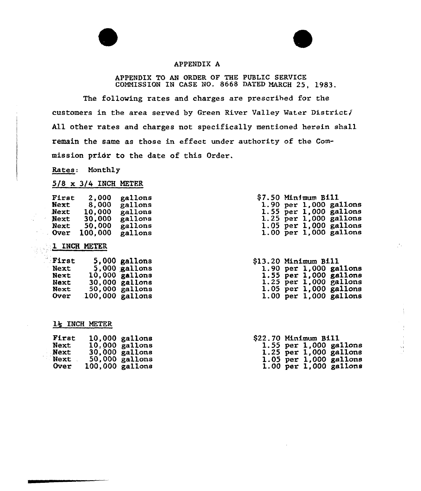## APPENDIX A

APPENDIX TO AN ORDER OF THE PUBLIC SERVICE COMMISSION IN CASE NO. 8668 DATED MARCH 25, 1983.

The following rates and charges are prescribed for the customers in the area served by Green River Valley Water District $j$ All other rates and charges not specifically mentioned herein shall remain the same as those in effect under authority of the Commission prior to the date of this Order.

Rates: Monthly

## $5/8$  x 3/4 INCH METER

| First       | 2,000   | gallons |
|-------------|---------|---------|
| Next        | 8.000   | gallons |
| Next        | 10.000  | gallons |
| <b>Next</b> | 30.000  | gallons |
| Next        | 50.000  | gallons |
| <b>Over</b> | 100,000 | gallons |

## 1 INCH METER

| First       |                   | 5,000 gallons   |
|-------------|-------------------|-----------------|
| <b>Next</b> |                   | $5,000$ gallons |
| Next        |                   | 10,000 gallons  |
| Next        |                   | 30,000 gallons  |
| Next        | 50.000            | gallons         |
| <b>Over</b> | $100,000$ gallons |                 |

## lg INCH METER

| First | 10,000 gallons  |
|-------|-----------------|
| Next  | 10,000 gallons  |
| Next  | 30,000 gallons  |
| Next  | 50,000 gallons  |
| Over  | 100,000 gallons |

|  | <b>\$7.50 Minfmum B111</b> |                            |
|--|----------------------------|----------------------------|
|  |                            | $1.90$ per $1,000$ gallons |
|  |                            | 1.55 per 1,000 gallons     |
|  |                            | 1.25 per 1,000 gallons     |
|  |                            | $1.05$ per $1,000$ gallons |
|  |                            | $1.00$ per $1,000$ gallons |

| <b>\$13.20 Minimum B111</b> |  |                            |
|-----------------------------|--|----------------------------|
|                             |  | $1.90$ per $1,000$ gallons |
|                             |  | 1.55 per 1,000 gallons     |
|                             |  | $1.25$ per 1,000 gallons   |
|                             |  | 1.05 per 1,000 gallons     |
|                             |  | $1.00$ per $1,000$ gallons |

| <b>\$22.70 Minimum Bill</b> |  |
|-----------------------------|--|
| 1.55 $per$ 1,000 gallons    |  |
| 1.25 per 1,000 gallons      |  |
| 1.05 per 1,000 gallons      |  |
| $1.00$ per $1,000$ gallons  |  |